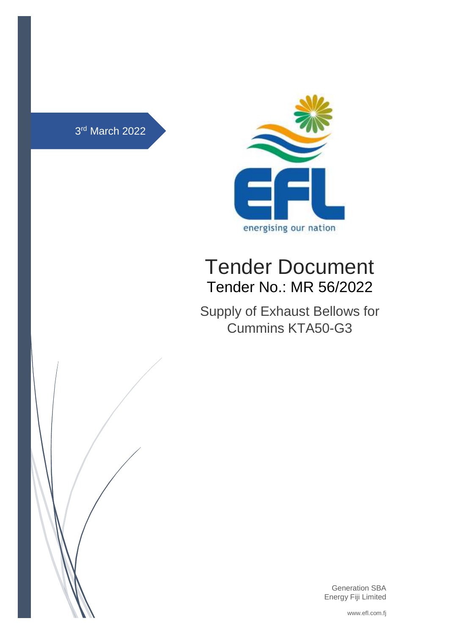



# Tender Document Tender No.: MR 56/2022

Supply of Exhaust Bellows for Cummins KTA50-G3



Generation SBA Energy Fiji Limited

www.efl.com.fj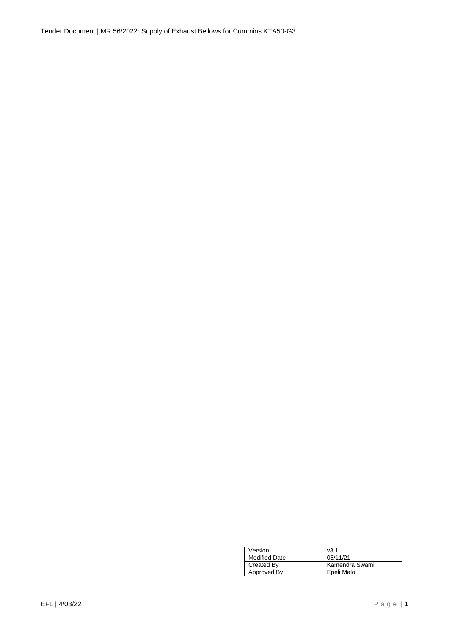Tender Document | MR 56/2022: Supply of Exhaust Bellows for Cummins KTA50-G3

| Version              | v3.1           |
|----------------------|----------------|
| <b>Modified Date</b> | 05/11/21       |
| <b>Created By</b>    | Kamendra Swami |
| Approved By          | Epeli Malo     |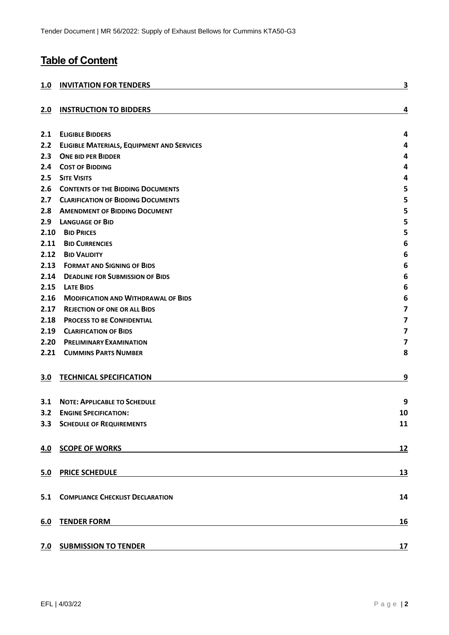# **Table of Content**

| 1.0  | <b>INVITATION FOR TENDERS</b>                                                                                                                      | 3                       |
|------|----------------------------------------------------------------------------------------------------------------------------------------------------|-------------------------|
| 2.0  | <b>INSTRUCTION TO BIDDERS</b>                                                                                                                      | 4                       |
| 2.1  | <b>ELIGIBLE BIDDERS</b>                                                                                                                            | 4                       |
| 2.2  | <b>ELIGIBLE MATERIALS, EQUIPMENT AND SERVICES</b>                                                                                                  | 4                       |
| 2.3  | <b>ONE BID PER BIDDER</b>                                                                                                                          | 4                       |
| 2.4  | <b>COST OF BIDDING</b>                                                                                                                             | 4                       |
| 2.5  | <b>SITE VISITS</b>                                                                                                                                 | 4                       |
| 2.6  | <b>CONTENTS OF THE BIDDING DOCUMENTS</b>                                                                                                           | 5                       |
| 2.7  | <b>CLARIFICATION OF BIDDING DOCUMENTS</b>                                                                                                          | 5                       |
| 2.8  | <b>AMENDMENT OF BIDDING DOCUMENT</b>                                                                                                               | 5                       |
| 2.9  | <b>LANGUAGE OF BID</b>                                                                                                                             | 5                       |
| 2.10 | <b>BID PRICES</b>                                                                                                                                  | 5                       |
| 2.11 | <b>BID CURRENCIES</b>                                                                                                                              | 6                       |
| 2.12 | <b>BID VALIDITY</b>                                                                                                                                | 6                       |
| 2.13 | <b>FORMAT AND SIGNING OF BIDS</b>                                                                                                                  | 6                       |
| 2.14 | <b>DEADLINE FOR SUBMISSION OF BIDS</b>                                                                                                             | 6                       |
| 2.15 | <b>LATE BIDS</b>                                                                                                                                   | 6                       |
| 2.16 | <b>MODIFICATION AND WITHDRAWAL OF BIDS</b>                                                                                                         | 6                       |
| 2.17 | <b>REJECTION OF ONE OR ALL BIDS</b>                                                                                                                | $\overline{\mathbf{z}}$ |
| 2.18 | <b>PROCESS TO BE CONFIDENTIAL</b>                                                                                                                  | 7                       |
| 2.19 | <b>CLARIFICATION OF BIDS</b>                                                                                                                       | $\overline{\mathbf{z}}$ |
| 2.20 | <b>PRELIMINARY EXAMINATION</b>                                                                                                                     | 7                       |
| 2.21 | <b>CUMMINS PARTS NUMBER</b>                                                                                                                        | 8                       |
| 3.0  | <b>TECHNICAL SPECIFICATION</b>                                                                                                                     | 9                       |
| 3.1  | <b>NOTE: APPLICABLE TO SCHEDULE</b>                                                                                                                | 9                       |
| 3.2  | <b>ENGINE SPECIFICATION:</b>                                                                                                                       | 10                      |
|      | <b>3.3 SCHEDULE OF REQUIREMENTS</b>                                                                                                                | 11                      |
| 4.0  | <b>SCOPE OF WORKS</b><br><u> 1989 - Johann Stein, mars an deutscher Stein († 1989)</u>                                                             | <u>12</u>               |
| 5.0  | <b>PRICE SCHEDULE</b>                                                                                                                              | 13                      |
|      | <b>5.1 COMPLIANCE CHECKLIST DECLARATION</b>                                                                                                        | 14                      |
| 6.0  | <b>TENDER FORM</b>                                                                                                                                 | <u>16</u>               |
|      | 7.0 SUBMISSION TO TENDER<br><u> 1989 - Johann Stoff, deutscher Stoffen und der Stoffen und der Stoffen und der Stoffen und der Stoffen und der</u> | 17                      |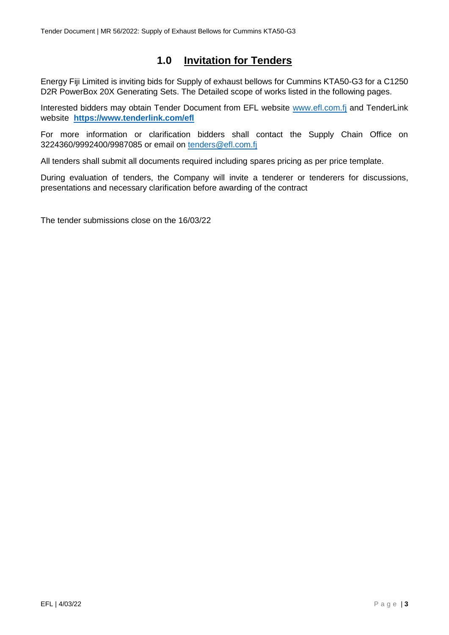# <span id="page-3-0"></span>**1.0 Invitation for Tenders**

Energy Fiji Limited is inviting bids for Supply of exhaust bellows for Cummins KTA50-G3 for a C1250 D2R PowerBox 20X Generating Sets. The Detailed scope of works listed in the following pages.

Interested bidders may obtain Tender Document from EFL website [www.efl.com.fj](http://www.efl.com.fj/) and TenderLink website **<https://www.tenderlink.com/efl>**

For more information or clarification bidders shall contact the Supply Chain Office on 3224360/9992400/9987085 or email on [tenders@efl.com.fj](mailto:tenders@efl.com.fj)

All tenders shall submit all documents required including spares pricing as per price template.

During evaluation of tenders, the Company will invite a tenderer or tenderers for discussions, presentations and necessary clarification before awarding of the contract

The tender submissions close on the 16/03/22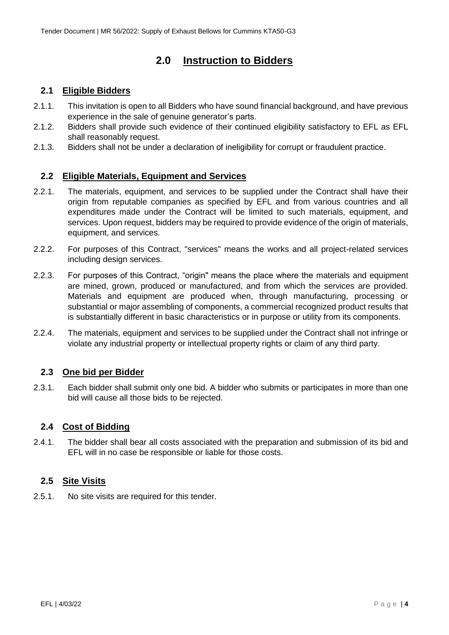# **2.0 Instruction to Bidders**

# <span id="page-4-1"></span><span id="page-4-0"></span>**2.1 Eligible Bidders**

- 2.1.1. This invitation is open to all Bidders who have sound financial background, and have previous experience in the sale of genuine generator's parts.
- 2.1.2. Bidders shall provide such evidence of their continued eligibility satisfactory to EFL as EFL shall reasonably request.
- 2.1.3. Bidders shall not be under a declaration of ineligibility for corrupt or fraudulent practice.

### <span id="page-4-2"></span>**2.2 Eligible Materials, Equipment and Services**

- 2.2.1. The materials, equipment, and services to be supplied under the Contract shall have their origin from reputable companies as specified by EFL and from various countries and all expenditures made under the Contract will be limited to such materials, equipment, and services. Upon request, bidders may be required to provide evidence of the origin of materials, equipment, and services.
- 2.2.2. For purposes of this Contract, "services" means the works and all project-related services including design services.
- 2.2.3. For purposes of this Contract, "origin" means the place where the materials and equipment are mined, grown, produced or manufactured, and from which the services are provided. Materials and equipment are produced when, through manufacturing, processing or substantial or major assembling of components, a commercial recognized product results that is substantially different in basic characteristics or in purpose or utility from its components.
- 2.2.4. The materials, equipment and services to be supplied under the Contract shall not infringe or violate any industrial property or intellectual property rights or claim of any third party.

### <span id="page-4-3"></span>**2.3 One bid per Bidder**

2.3.1. Each bidder shall submit only one bid. A bidder who submits or participates in more than one bid will cause all those bids to be rejected.

### <span id="page-4-4"></span>**2.4 Cost of Bidding**

2.4.1. The bidder shall bear all costs associated with the preparation and submission of its bid and EFL will in no case be responsible or liable for those costs.

### <span id="page-4-5"></span>**2.5 Site Visits**

2.5.1. No site visits are required for this tender.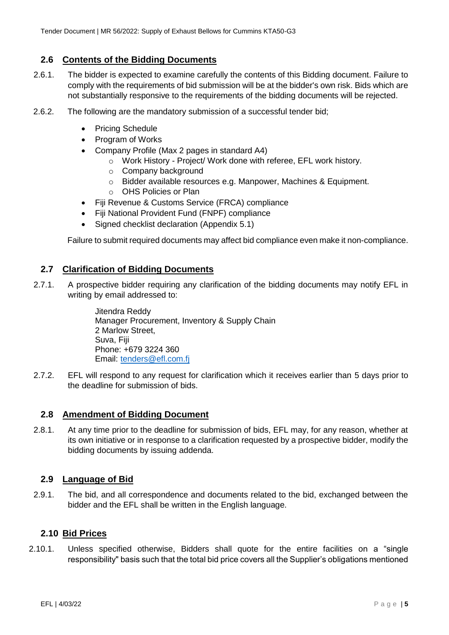### <span id="page-5-0"></span>**2.6 Contents of the Bidding Documents**

- 2.6.1. The bidder is expected to examine carefully the contents of this Bidding document. Failure to comply with the requirements of bid submission will be at the bidder's own risk. Bids which are not substantially responsive to the requirements of the bidding documents will be rejected.
- 2.6.2. The following are the mandatory submission of a successful tender bid;
	- Pricing Schedule
	- Program of Works
	- Company Profile (Max 2 pages in standard A4)
		- o Work History Project/ Work done with referee, EFL work history.
		- o Company background
		- o Bidder available resources e.g. Manpower, Machines & Equipment.
		- o OHS Policies or Plan
	- Fiji Revenue & Customs Service (FRCA) compliance
	- Fiji National Provident Fund (FNPF) compliance
	- Signed checklist declaration (Appendix 5.1)

Failure to submit required documents may affect bid compliance even make it non-compliance.

### <span id="page-5-1"></span>**2.7 Clarification of Bidding Documents**

2.7.1. A prospective bidder requiring any clarification of the bidding documents may notify EFL in writing by email addressed to:

> Jitendra Reddy Manager Procurement, Inventory & Supply Chain 2 Marlow Street, Suva, Fiji Phone: +679 3224 360 Email: [tenders@efl.com.fj](mailto:tenders@efl.com.fj)

2.7.2. EFL will respond to any request for clarification which it receives earlier than 5 days prior to the deadline for submission of bids.

#### <span id="page-5-2"></span>**2.8 Amendment of Bidding Document**

2.8.1. At any time prior to the deadline for submission of bids, EFL may, for any reason, whether at its own initiative or in response to a clarification requested by a prospective bidder, modify the bidding documents by issuing addenda.

### <span id="page-5-3"></span>**2.9 Language of Bid**

2.9.1. The bid, and all correspondence and documents related to the bid, exchanged between the bidder and the EFL shall be written in the English language.

### <span id="page-5-4"></span>**2.10 Bid Prices**

2.10.1. Unless specified otherwise, Bidders shall quote for the entire facilities on a "single responsibility" basis such that the total bid price covers all the Supplier's obligations mentioned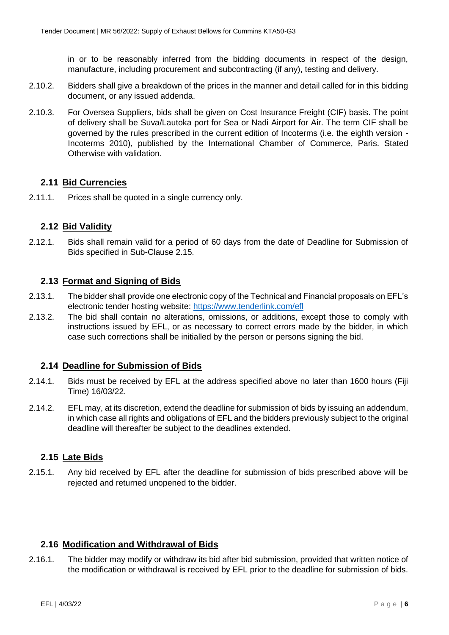in or to be reasonably inferred from the bidding documents in respect of the design, manufacture, including procurement and subcontracting (if any), testing and delivery.

- 2.10.2. Bidders shall give a breakdown of the prices in the manner and detail called for in this bidding document, or any issued addenda.
- 2.10.3. For Oversea Suppliers, bids shall be given on Cost Insurance Freight (CIF) basis. The point of delivery shall be Suva/Lautoka port for Sea or Nadi Airport for Air. The term CIF shall be governed by the rules prescribed in the current edition of Incoterms (i.e. the eighth version - Incoterms 2010), published by the International Chamber of Commerce, Paris. Stated Otherwise with validation.

### <span id="page-6-0"></span>**2.11 Bid Currencies**

2.11.1. Prices shall be quoted in a single currency only.

### <span id="page-6-1"></span>**2.12 Bid Validity**

2.12.1. Bids shall remain valid for a period of 60 days from the date of Deadline for Submission of Bids specified in Sub-Clause 2.15.

### <span id="page-6-2"></span>**2.13 Format and Signing of Bids**

- 2.13.1. The bidder shall provide one electronic copy of the Technical and Financial proposals on EFL's electronic tender hosting website:<https://www.tenderlink.com/efl>
- 2.13.2. The bid shall contain no alterations, omissions, or additions, except those to comply with instructions issued by EFL, or as necessary to correct errors made by the bidder, in which case such corrections shall be initialled by the person or persons signing the bid.

#### <span id="page-6-3"></span>**2.14 Deadline for Submission of Bids**

- 2.14.1. Bids must be received by EFL at the address specified above no later than 1600 hours (Fiji Time) 16/03/22.
- 2.14.2. EFL may, at its discretion, extend the deadline for submission of bids by issuing an addendum, in which case all rights and obligations of EFL and the bidders previously subject to the original deadline will thereafter be subject to the deadlines extended.

#### <span id="page-6-4"></span>**2.15 Late Bids**

2.15.1. Any bid received by EFL after the deadline for submission of bids prescribed above will be rejected and returned unopened to the bidder.

#### <span id="page-6-5"></span>**2.16 Modification and Withdrawal of Bids**

2.16.1. The bidder may modify or withdraw its bid after bid submission, provided that written notice of the modification or withdrawal is received by EFL prior to the deadline for submission of bids.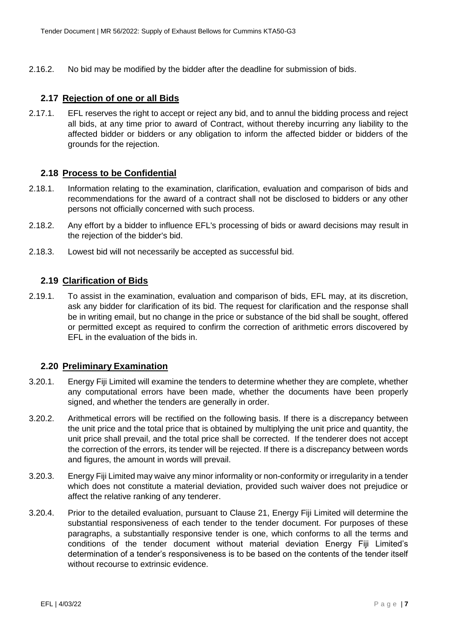2.16.2. No bid may be modified by the bidder after the deadline for submission of bids.

### <span id="page-7-0"></span>**2.17 Rejection of one or all Bids**

2.17.1. EFL reserves the right to accept or reject any bid, and to annul the bidding process and reject all bids, at any time prior to award of Contract, without thereby incurring any liability to the affected bidder or bidders or any obligation to inform the affected bidder or bidders of the grounds for the rejection.

### <span id="page-7-1"></span>**2.18 Process to be Confidential**

- 2.18.1. Information relating to the examination, clarification, evaluation and comparison of bids and recommendations for the award of a contract shall not be disclosed to bidders or any other persons not officially concerned with such process.
- 2.18.2. Any effort by a bidder to influence EFL's processing of bids or award decisions may result in the rejection of the bidder's bid.
- 2.18.3. Lowest bid will not necessarily be accepted as successful bid.

### <span id="page-7-2"></span>**2.19 Clarification of Bids**

2.19.1. To assist in the examination, evaluation and comparison of bids, EFL may, at its discretion, ask any bidder for clarification of its bid. The request for clarification and the response shall be in writing email, but no change in the price or substance of the bid shall be sought, offered or permitted except as required to confirm the correction of arithmetic errors discovered by EFL in the evaluation of the bids in.

#### <span id="page-7-3"></span>**2.20 Preliminary Examination**

- 3.20.1. Energy Fiji Limited will examine the tenders to determine whether they are complete, whether any computational errors have been made, whether the documents have been properly signed, and whether the tenders are generally in order.
- 3.20.2. Arithmetical errors will be rectified on the following basis. If there is a discrepancy between the unit price and the total price that is obtained by multiplying the unit price and quantity, the unit price shall prevail, and the total price shall be corrected. If the tenderer does not accept the correction of the errors, its tender will be rejected. If there is a discrepancy between words and figures, the amount in words will prevail.
- 3.20.3. Energy Fiji Limited may waive any minor informality or non-conformity or irregularity in a tender which does not constitute a material deviation, provided such waiver does not prejudice or affect the relative ranking of any tenderer.
- 3.20.4. Prior to the detailed evaluation, pursuant to Clause 21, Energy Fiji Limited will determine the substantial responsiveness of each tender to the tender document. For purposes of these paragraphs, a substantially responsive tender is one, which conforms to all the terms and conditions of the tender document without material deviation Energy Fiji Limited's determination of a tender's responsiveness is to be based on the contents of the tender itself without recourse to extrinsic evidence.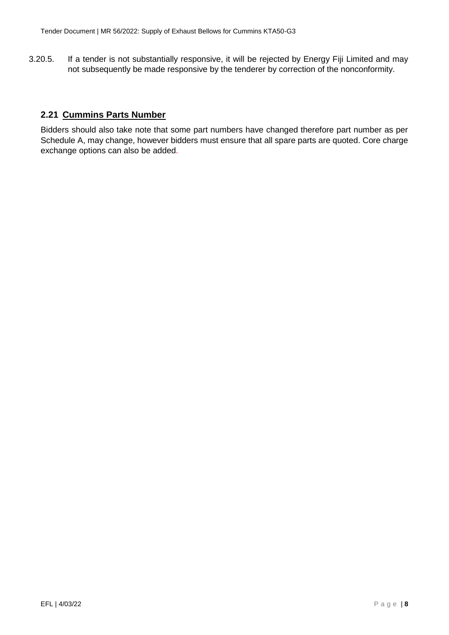3.20.5. If a tender is not substantially responsive, it will be rejected by Energy Fiji Limited and may not subsequently be made responsive by the tenderer by correction of the nonconformity.

# <span id="page-8-0"></span>**2.21 Cummins Parts Number**

Bidders should also take note that some part numbers have changed therefore part number as per Schedule A, may change, however bidders must ensure that all spare parts are quoted. Core charge exchange options can also be added.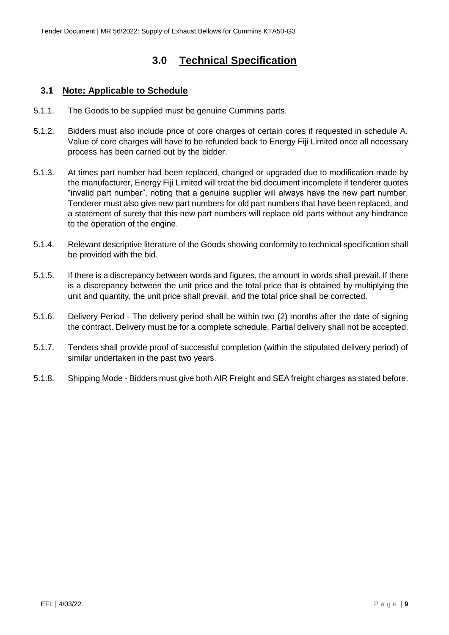# **3.0 Technical Specification**

# <span id="page-9-1"></span><span id="page-9-0"></span>**3.1 Note: Applicable to Schedule**

- 5.1.1. The Goods to be supplied must be genuine Cummins parts.
- 5.1.2. Bidders must also include price of core charges of certain cores if requested in schedule A. Value of core charges will have to be refunded back to Energy Fiji Limited once all necessary process has been carried out by the bidder.
- 5.1.3. At times part number had been replaced, changed or upgraded due to modification made by the manufacturer, Energy Fiji Limited will treat the bid document incomplete if tenderer quotes "invalid part number", noting that a genuine supplier will always have the new part number. Tenderer must also give new part numbers for old part numbers that have been replaced, and a statement of surety that this new part numbers will replace old parts without any hindrance to the operation of the engine.
- 5.1.4. Relevant descriptive literature of the Goods showing conformity to technical specification shall be provided with the bid.
- 5.1.5. If there is a discrepancy between words and figures, the amount in words shall prevail. If there is a discrepancy between the unit price and the total price that is obtained by multiplying the unit and quantity, the unit price shall prevail, and the total price shall be corrected.
- 5.1.6. Delivery Period The delivery period shall be within two (2) months after the date of signing the contract. Delivery must be for a complete schedule. Partial delivery shall not be accepted.
- 5.1.7. Tenders shall provide proof of successful completion (within the stipulated delivery period) of similar undertaken in the past two years.
- 5.1.8. Shipping Mode Bidders must give both AIR Freight and SEA freight charges as stated before.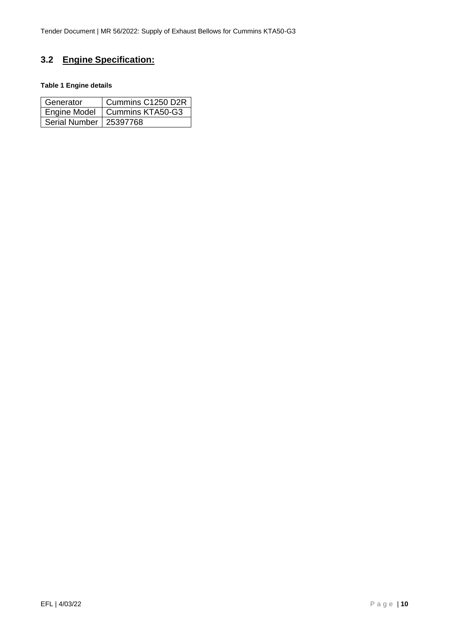# <span id="page-10-0"></span>**3.2 Engine Specification:**

#### **Table 1 Engine details**

| Generator                | Cummins C1250 D2R               |
|--------------------------|---------------------------------|
|                          | Engine Model   Cummins KTA50-G3 |
| Serial Number   25397768 |                                 |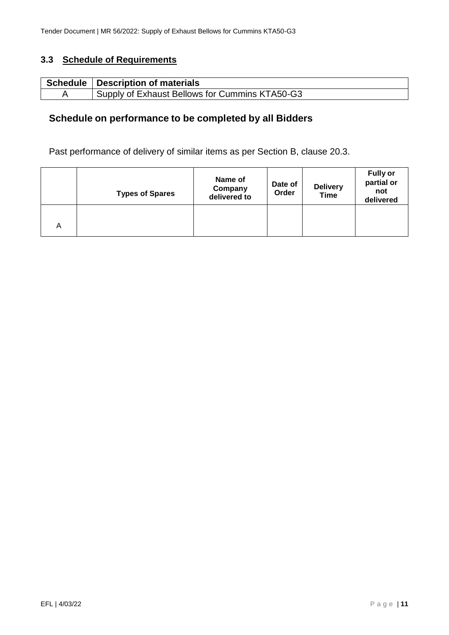# <span id="page-11-0"></span>**3.3 Schedule of Requirements**

| Schedule   Description of materials                         |
|-------------------------------------------------------------|
| <sup>1</sup> Supply of Exhaust Bellows for Cummins KTA50-G3 |

# **Schedule on performance to be completed by all Bidders**

Past performance of delivery of similar items as per Section B, clause 20.3.

|   | <b>Types of Spares</b> | Name of<br>Company<br>delivered to | Date of<br>Order | <b>Delivery</b><br><b>Time</b> | <b>Fully or</b><br>partial or<br>not<br>delivered |
|---|------------------------|------------------------------------|------------------|--------------------------------|---------------------------------------------------|
| A |                        |                                    |                  |                                |                                                   |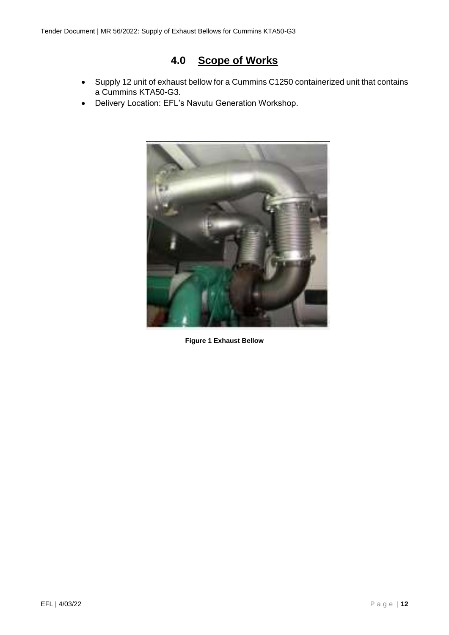# **4.0 Scope of Works**

- <span id="page-12-0"></span> Supply 12 unit of exhaust bellow for a Cummins C1250 containerized unit that contains a Cummins KTA50-G3.
- Delivery Location: EFL's Navutu Generation Workshop.



**Figure 1 Exhaust Bellow**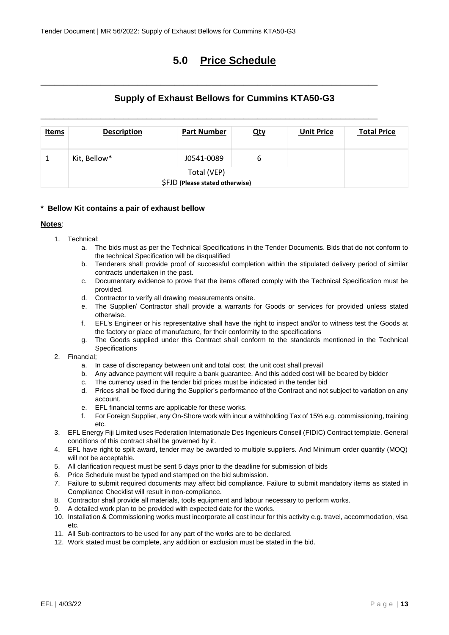# **5.0 Price Schedule**

# **Supply of Exhaust Bellows for Cummins KTA50-G3**

<span id="page-13-0"></span>\_\_\_\_\_\_\_\_\_\_\_\_\_\_\_\_\_\_\_\_\_\_\_\_\_\_\_\_\_\_\_\_\_\_\_\_\_\_\_\_\_\_\_\_\_\_\_\_\_\_\_\_\_\_\_\_\_\_\_\_\_\_\_\_\_\_\_\_\_\_\_\_\_

\_\_\_\_\_\_\_\_\_\_\_\_\_\_\_\_\_\_\_\_\_\_\_\_\_\_\_\_\_\_\_\_\_\_\_\_\_\_\_\_\_\_\_\_\_\_\_\_\_\_\_\_\_\_\_\_\_\_\_\_\_\_\_\_\_\_\_\_\_\_\_\_\_

| <u>Items</u> | <b>Description</b>                             | <b>Part Number</b> | <u>Qty</u> | <b>Unit Price</b> | <b>Total Price</b> |
|--------------|------------------------------------------------|--------------------|------------|-------------------|--------------------|
|              | Kit, Bellow*                                   | J0541-0089         | ь          |                   |                    |
|              | Total (VEP)<br>\$FJD (Please stated otherwise) |                    |            |                   |                    |

#### **\* Bellow Kit contains a pair of exhaust bellow**

#### **Notes**:

- 1. Technical;
	- a. The bids must as per the Technical Specifications in the Tender Documents. Bids that do not conform to the technical Specification will be disqualified
	- b. Tenderers shall provide proof of successful completion within the stipulated delivery period of similar contracts undertaken in the past.
	- c. Documentary evidence to prove that the items offered comply with the Technical Specification must be provided.
	- d. Contractor to verify all drawing measurements onsite.
	- e. The Supplier/ Contractor shall provide a warrants for Goods or services for provided unless stated otherwise.
	- f. EFL's Engineer or his representative shall have the right to inspect and/or to witness test the Goods at the factory or place of manufacture, for their conformity to the specifications
	- g. The Goods supplied under this Contract shall conform to the standards mentioned in the Technical **Specifications**
- 2. Financial;
	- a. In case of discrepancy between unit and total cost, the unit cost shall prevail
	- b. Any advance payment will require a bank guarantee. And this added cost will be beared by bidder
	- c. The currency used in the tender bid prices must be indicated in the tender bid
	- d. Prices shall be fixed during the Supplier's performance of the Contract and not subject to variation on any account.
	- e. EFL financial terms are applicable for these works.
	- f. For Foreign Supplier, any On-Shore work with incur a withholding Tax of 15% e.g. commissioning, training etc.
- 3. EFL Energy Fiji Limited uses Federation Internationale Des Ingenieurs Conseil (FIDIC) Contract template. General conditions of this contract shall be governed by it.
- 4. EFL have right to spilt award, tender may be awarded to multiple suppliers. And Minimum order quantity (MOQ) will not be acceptable.
- 5. All clarification request must be sent 5 days prior to the deadline for submission of bids
- 6. Price Schedule must be typed and stamped on the bid submission.
- 7. Failure to submit required documents may affect bid compliance. Failure to submit mandatory items as stated in Compliance Checklist will result in non-compliance.
- 8. Contractor shall provide all materials, tools equipment and labour necessary to perform works.
- 9. A detailed work plan to be provided with expected date for the works.
- 10. Installation & Commissioning works must incorporate all cost incur for this activity e.g. travel, accommodation, visa etc.
- 11. All Sub-contractors to be used for any part of the works are to be declared.
- 12. Work stated must be complete, any addition or exclusion must be stated in the bid.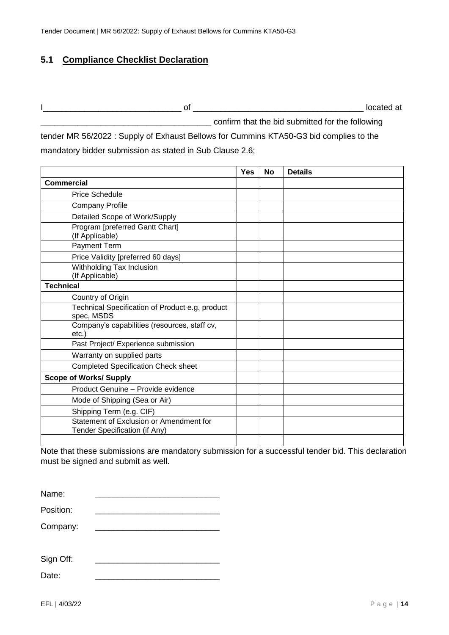# <span id="page-14-0"></span>**5.1 Compliance Checklist Declaration**

I\_\_\_\_\_\_\_\_\_\_\_\_\_\_\_\_\_\_\_\_\_\_\_\_\_\_\_\_\_\_ of \_\_\_\_\_\_\_\_\_\_\_\_\_\_\_\_\_\_\_\_\_\_\_\_\_\_\_\_\_\_\_\_\_\_\_\_\_ located at confirm that the bid submitted for the following

tender MR 56/2022 : Supply of Exhaust Bellows for Cummins KTA50-G3 bid complies to the mandatory bidder submission as stated in Sub Clause 2.6;

|                                                                          | <b>Yes</b> | <b>No</b> | <b>Details</b> |
|--------------------------------------------------------------------------|------------|-----------|----------------|
| Commercial                                                               |            |           |                |
| <b>Price Schedule</b>                                                    |            |           |                |
| <b>Company Profile</b>                                                   |            |           |                |
| Detailed Scope of Work/Supply                                            |            |           |                |
| Program [preferred Gantt Chart]<br>(If Applicable)                       |            |           |                |
| Payment Term                                                             |            |           |                |
| Price Validity [preferred 60 days]                                       |            |           |                |
| Withholding Tax Inclusion<br>(If Applicable)                             |            |           |                |
| <b>Technical</b>                                                         |            |           |                |
| Country of Origin                                                        |            |           |                |
| Technical Specification of Product e.g. product<br>spec, MSDS            |            |           |                |
| Company's capabilities (resources, staff cv,<br>etc.                     |            |           |                |
| Past Project/ Experience submission                                      |            |           |                |
| Warranty on supplied parts                                               |            |           |                |
| <b>Completed Specification Check sheet</b>                               |            |           |                |
| <b>Scope of Works/ Supply</b>                                            |            |           |                |
| Product Genuine - Provide evidence                                       |            |           |                |
| Mode of Shipping (Sea or Air)                                            |            |           |                |
| Shipping Term (e.g. CIF)                                                 |            |           |                |
| Statement of Exclusion or Amendment for<br>Tender Specification (if Any) |            |           |                |
|                                                                          |            |           |                |

Note that these submissions are mandatory submission for a successful tender bid. This declaration must be signed and submit as well.

| Name:     |  |
|-----------|--|
| Position: |  |
| Company:  |  |
|           |  |

| Sign Off: |  |
|-----------|--|
| Date:     |  |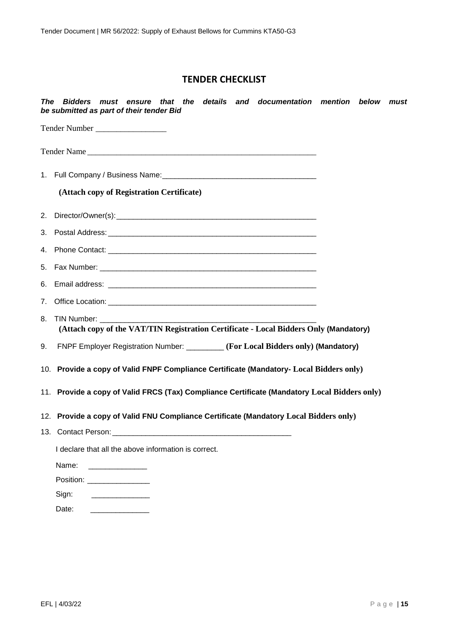# **TENDER CHECKLIST**

| The | must ensure that the details and documentation mention<br><b>Bidders</b><br>below must<br>be submitted as part of their tender Bid |  |
|-----|------------------------------------------------------------------------------------------------------------------------------------|--|
|     | Tender Number                                                                                                                      |  |
|     | Tender Name                                                                                                                        |  |
|     |                                                                                                                                    |  |
|     | (Attach copy of Registration Certificate)                                                                                          |  |
|     |                                                                                                                                    |  |
|     |                                                                                                                                    |  |
|     |                                                                                                                                    |  |
| 5.  |                                                                                                                                    |  |
|     |                                                                                                                                    |  |
|     |                                                                                                                                    |  |
| 8.  | TIN Number: TIN<br>(Attach copy of the VAT/TIN Registration Certificate - Local Bidders Only (Mandatory)                           |  |
| 9.  | FNPF Employer Registration Number: _________ (For Local Bidders only) (Mandatory)                                                  |  |
|     | 10. Provide a copy of Valid FNPF Compliance Certificate (Mandatory- Local Bidders only)                                            |  |
|     | 11. Provide a copy of Valid FRCS (Tax) Compliance Certificate (Mandatory Local Bidders only)                                       |  |
|     | 12. Provide a copy of Valid FNU Compliance Certificate (Mandatory Local Bidders only)                                              |  |
|     | 13. Contact Person:                                                                                                                |  |
|     | I declare that all the above information is correct.                                                                               |  |
|     | Name:                                                                                                                              |  |
|     | Position: ____________________                                                                                                     |  |
|     | Sign:                                                                                                                              |  |
|     | Date:                                                                                                                              |  |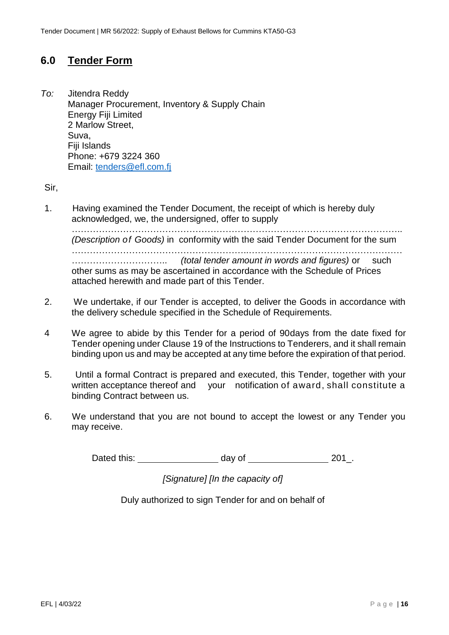# <span id="page-16-0"></span>**6.0 Tender Form**

*To:* Jitendra Reddy Manager Procurement, Inventory & Supply Chain Energy Fiji Limited 2 Marlow Street, Suva, Fiji Islands Phone: +679 3224 360 Email: [tenders@efl.com.fj](mailto:tenders@efl.com.fj)

Sir,

1. Having examined the Tender Document, the receipt of which is hereby duly acknowledged, we, the undersigned, offer to supply

……………………………………………………………………………………………….. *(Description of Goods)* in conformity with the said Tender Document for the sum …………………………………………………..…………………………………………… ………………………….. *(total tender amount in words and figures)* or such other sums as may be ascertained in accordance with the Schedule of Prices attached herewith and made part of this Tender.

- 2. We undertake, if our Tender is accepted, to deliver the Goods in accordance with the delivery schedule specified in the Schedule of Requirements.
- 4 We agree to abide by this Tender for a period of 90days from the date fixed for Tender opening under Clause 19 of the Instructions to Tenderers, and it shall remain binding upon us and may be accepted at any time before the expiration of that period.
- 5. Until a formal Contract is prepared and executed, this Tender, together with your written acceptance thereof and your notification of award, shall constitute a binding Contract between us.
- 6. We understand that you are not bound to accept the lowest or any Tender you may receive.

Dated this: day of 201.

*[Signature] [In the capacity of]*

Duly authorized to sign Tender for and on behalf of